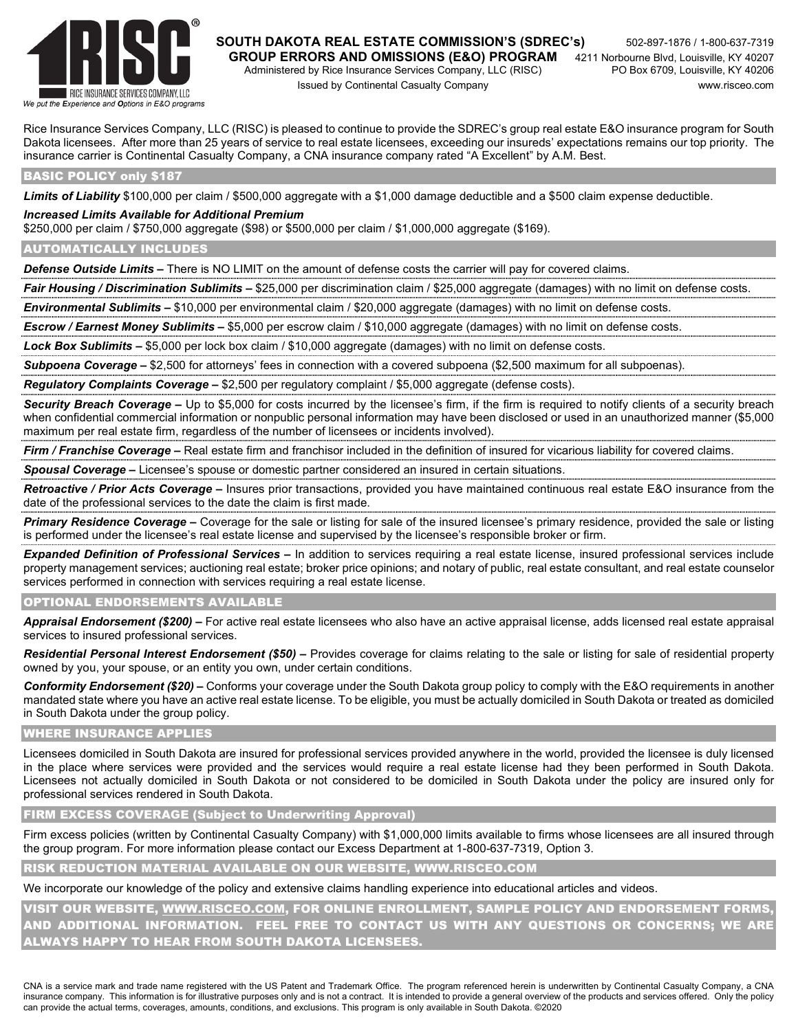

# **SOUTH DAKOTA REAL ESTATE COMMISSION'S (SDREC's)** 502-897-1876 / 1-800-637-7319

Administered by Rice Insurance Services Company, LLC (RISC) Issued by Continental Casualty Company www.risceo.com

Rice Insurance Services Company, LLC (RISC) is pleased to continue to provide the SDREC's group real estate E&O insurance program for South Dakota licensees. After more than 25 years of service to real estate licensees, exceeding our insureds' expectations remains our top priority. The insurance carrier is Continental Casualty Company, a CNA insurance company rated "A Excellent" by A.M. Best.

#### BASIC POLICY only \$187

*Limits of Liability* \$100,000 per claim / \$500,000 aggregate with a \$1,000 damage deductible and a \$500 claim expense deductible.

#### *Increased Limits Available for Additional Premium*

\$250,000 per claim / \$750,000 aggregate (\$98) or \$500,000 per claim / \$1,000,000 aggregate (\$169).

#### AUTOMATICALLY INCLUDES

*Defense Outside Limits –* There is NO LIMIT on the amount of defense costs the carrier will pay for covered claims.

Fair Housing / Discrimination Sublimits – \$25,000 per discrimination claim / \$25,000 aggregate (damages) with no limit on defense costs.

*Environmental Sublimits –* \$10,000 per environmental claim / \$20,000 aggregate (damages) with no limit on defense costs.

*Escrow / Earnest Money Sublimits –* \$5,000 per escrow claim / \$10,000 aggregate (damages) with no limit on defense costs.

*Lock Box Sublimits –* \$5,000 per lock box claim / \$10,000 aggregate (damages) with no limit on defense costs.

*Subpoena Coverage –* \$2,500 for attorneys' fees in connection with a covered subpoena (\$2,500 maximum for all subpoenas).

*Regulatory Complaints Coverage –* \$2,500 per regulatory complaint / \$5,000 aggregate (defense costs).

*Security Breach Coverage –* Up to \$5,000 for costs incurred by the licensee's firm, if the firm is required to notify clients of a security breach when confidential commercial information or nonpublic personal information may have been disclosed or used in an unauthorized manner (\$5,000 maximum per real estate firm, regardless of the number of licensees or incidents involved).

*Firm / Franchise Coverage –* Real estate firm and franchisor included in the definition of insured for vicarious liability for covered claims.

*Spousal Coverage –* Licensee's spouse or domestic partner considered an insured in certain situations.

*Retroactive / Prior Acts Coverage –* Insures prior transactions, provided you have maintained continuous real estate E&O insurance from the date of the professional services to the date the claim is first made.

*Primary Residence Coverage –* Coverage for the sale or listing for sale of the insured licensee's primary residence, provided the sale or listing is performed under the licensee's real estate license and supervised by the licensee's responsible broker or firm.

*Expanded Definition of Professional Services –* In addition to services requiring a real estate license, insured professional services include property management services; auctioning real estate; broker price opinions; and notary of public, real estate consultant, and real estate counselor services performed in connection with services requiring a real estate license.

#### OPTIONAL ENDORSEMENTS AVAILABLE

*Appraisal Endorsement (\$200) –* For active real estate licensees who also have an active appraisal license, adds licensed real estate appraisal services to insured professional services.

*Residential Personal Interest Endorsement (\$50) –* Provides coverage for claims relating to the sale or listing for sale of residential property owned by you, your spouse, or an entity you own, under certain conditions.

*Conformity Endorsement (\$20) –* Conforms your coverage under the South Dakota group policy to comply with the E&O requirements in another mandated state where you have an active real estate license. To be eligible, you must be actually domiciled in South Dakota or treated as domiciled in South Dakota under the group policy.

#### WHERE INSURANCE APPLIES

Licensees domiciled in South Dakota are insured for professional services provided anywhere in the world, provided the licensee is duly licensed in the place where services were provided and the services would require a real estate license had they been performed in South Dakota. Licensees not actually domiciled in South Dakota or not considered to be domiciled in South Dakota under the policy are insured only for professional services rendered in South Dakota.

FIRM EXCESS COVERAGE (Subject to Underwriting Approval)

Firm excess policies (written by Continental Casualty Company) with \$1,000,000 limits available to firms whose licensees are all insured through the group program. For more information please contact our Excess Department at 1-800-637-7319, Option 3.

RISK REDUCTION MATERIAL AVAILABLE ON OUR WEBSITE, WWW.RISCEO.COM

We incorporate our knowledge of the policy and extensive claims handling experience into educational articles and videos.

VISIT OUR WEBSITE, WWW.RISCEO.COM, FOR ONLINE ENROLLMENT, SAMPLE POLICY AND ENDORSEMENT FORMS, AND ADDITIONAL INFORMATION. FEEL FREE TO CONTACT US WITH ANY QUESTIONS OR CONCERNS; WE ARE ALWAYS HAPPY TO HEAR FROM SOUTH DAKOTA LICENSEES.

CNA is a service mark and trade name registered with the US Patent and Trademark Office. The program referenced herein is underwritten by Continental Casualty Company, a CNA insurance company. This information is for illustrative purposes only and is not a contract. It is intended to provide a general overview of the products and services offered. Only the policy can provide the actual terms, coverages, amounts, conditions, and exclusions. This program is only available in South Dakota. ©2020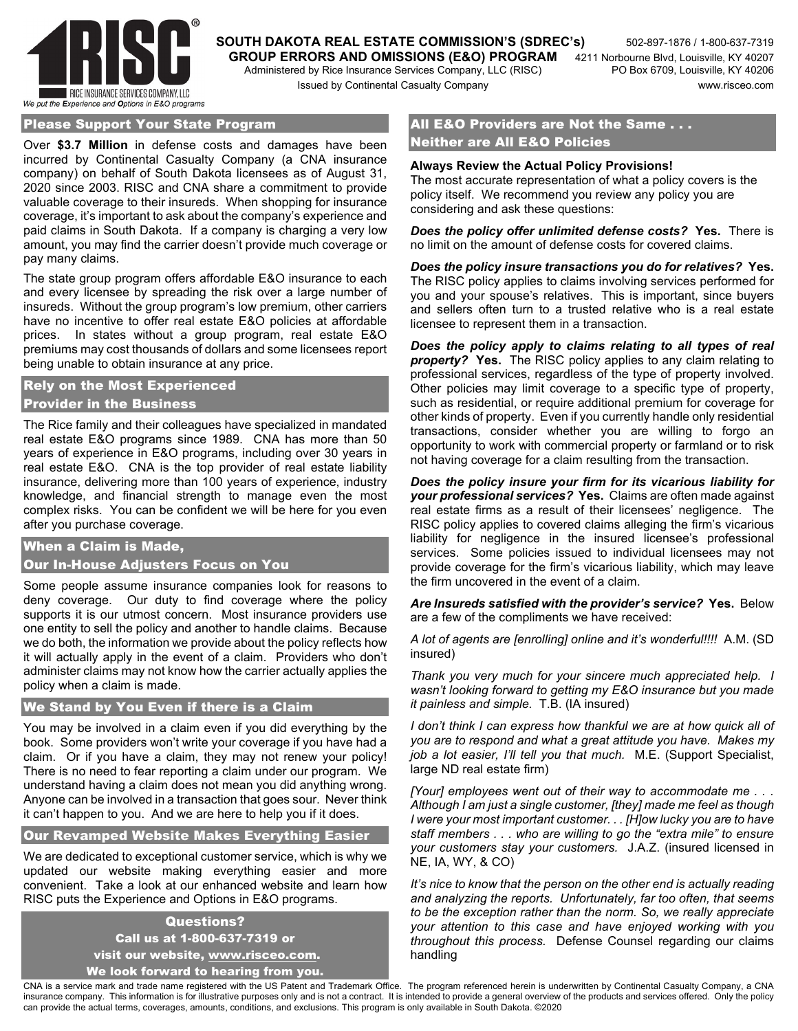

**SOUTH DAKOTA REAL ESTATE COMMISSION'S (SDREC's)** 502-897-1876 / 1-800-637-7319 **GROUP ERRORS AND OMISSIONS (E&O) PROGRAM** 4211 Norbourne Blvd, Louisville, KY 40207<br>Administered by Rice Insurance Services Company, LLC (RISC) PO Box 6709, Louisville, KY 40206 Administered by Rice Insurance Services Company, LLC (RISC)

#### Please Support Your State Program

Over **\$3.7 Million** in defense costs and damages have been incurred by Continental Casualty Company (a CNA insurance company) on behalf of South Dakota licensees as of August 31, 2020 since 2003. RISC and CNA share a commitment to provide valuable coverage to their insureds. When shopping for insurance coverage, it's important to ask about the company's experience and paid claims in South Dakota. If a company is charging a very low amount, you may find the carrier doesn't provide much coverage or pay many claims.

The state group program offers affordable E&O insurance to each and every licensee by spreading the risk over a large number of insureds. Without the group program's low premium, other carriers have no incentive to offer real estate E&O policies at affordable prices. In states without a group program, real estate E&O premiums may cost thousands of dollars and some licensees report being unable to obtain insurance at any price.

### Rely on the Most Experienced Provider in the Business

The Rice family and their colleagues have specialized in mandated real estate E&O programs since 1989. CNA has more than 50 years of experience in E&O programs, including over 30 years in real estate E&O. CNA is the top provider of real estate liability insurance, delivering more than 100 years of experience, industry knowledge, and financial strength to manage even the most complex risks. You can be confident we will be here for you even after you purchase coverage.

#### When a Claim is Made,

#### Our In-House Adjusters Focus on You

Some people assume insurance companies look for reasons to deny coverage. Our duty to find coverage where the policy supports it is our utmost concern. Most insurance providers use one entity to sell the policy and another to handle claims. Because we do both, the information we provide about the policy reflects how it will actually apply in the event of a claim. Providers who don't administer claims may not know how the carrier actually applies the policy when a claim is made.

#### We Stand by You Even if there is a Claim

You may be involved in a claim even if you did everything by the book. Some providers won't write your coverage if you have had a claim. Or if you have a claim, they may not renew your policy! There is no need to fear reporting a claim under our program. We understand having a claim does not mean you did anything wrong. Anyone can be involved in a transaction that goes sour. Never think it can't happen to you. And we are here to help you if it does.

Our Revamped Website Makes Everything Easier

We are dedicated to exceptional customer service, which is why we updated our website making everything easier and more convenient. Take a look at our enhanced website and learn how RISC puts the Experience and Options in E&O programs.

## Questions? Call us at 1-800-637-7319 or visit our website, www.risceo.com.

We look forward to hearing from you.

## All E&O Providers are Not the Same . . . Neither are All E&O Policies

#### **Always Review the Actual Policy Provisions!**

The most accurate representation of what a policy covers is the policy itself. We recommend you review any policy you are considering and ask these questions:

*Does the policy offer unlimited defense costs?* **Yes.** There is no limit on the amount of defense costs for covered claims.

*Does the policy insure transactions you do for relatives?* **Yes.** The RISC policy applies to claims involving services performed for you and your spouse's relatives. This is important, since buyers and sellers often turn to a trusted relative who is a real estate licensee to represent them in a transaction.

*Does the policy apply to claims relating to all types of real property?* **Yes.** The RISC policy applies to any claim relating to professional services, regardless of the type of property involved. Other policies may limit coverage to a specific type of property, such as residential, or require additional premium for coverage for other kinds of property. Even if you currently handle only residential transactions, consider whether you are willing to forgo an opportunity to work with commercial property or farmland or to risk not having coverage for a claim resulting from the transaction.

*Does the policy insure your firm for its vicarious liability for your professional services?* **Yes.** Claims are often made against real estate firms as a result of their licensees' negligence. The RISC policy applies to covered claims alleging the firm's vicarious liability for negligence in the insured licensee's professional services. Some policies issued to individual licensees may not provide coverage for the firm's vicarious liability, which may leave the firm uncovered in the event of a claim.

*Are Insureds satisfied with the provider's service?* **Yes.** Below are a few of the compliments we have received:

*A lot of agents are [enrolling] online and it's wonderful!!!!* A.M. (SD insured)

*Thank you very much for your sincere much appreciated help. I wasn't looking forward to getting my E&O insurance but you made it painless and simple.* T.B. (IA insured)

*I don't think I can express how thankful we are at how quick all of you are to respond and what a great attitude you have. Makes my job a lot easier, I'll tell you that much.* M.E. (Support Specialist, large ND real estate firm)

*[Your] employees went out of their way to accommodate me . . . Although I am just a single customer, [they] made me feel as though I were your most important customer. . . [H]ow lucky you are to have staff members . . . who are willing to go the "extra mile" to ensure your customers stay your customers.* J.A.Z. (insured licensed in NE, IA, WY, & CO)

*It's nice to know that the person on the other end is actually reading and analyzing the reports. Unfortunately, far too often, that seems to be the exception rather than the norm. So, we really appreciate your attention to this case and have enjoyed working with you throughout this process.* Defense Counsel regarding our claims handling

CNA is a service mark and trade name registered with the US Patent and Trademark Office. The program referenced herein is underwritten by Continental Casualty Company, a CNA insurance company. This information is for illustrative purposes only and is not a contract. It is intended to provide a general overview of the products and services offered. Only the policy can provide the actual terms, coverages, amounts, conditions, and exclusions. This program is only available in South Dakota. ©2020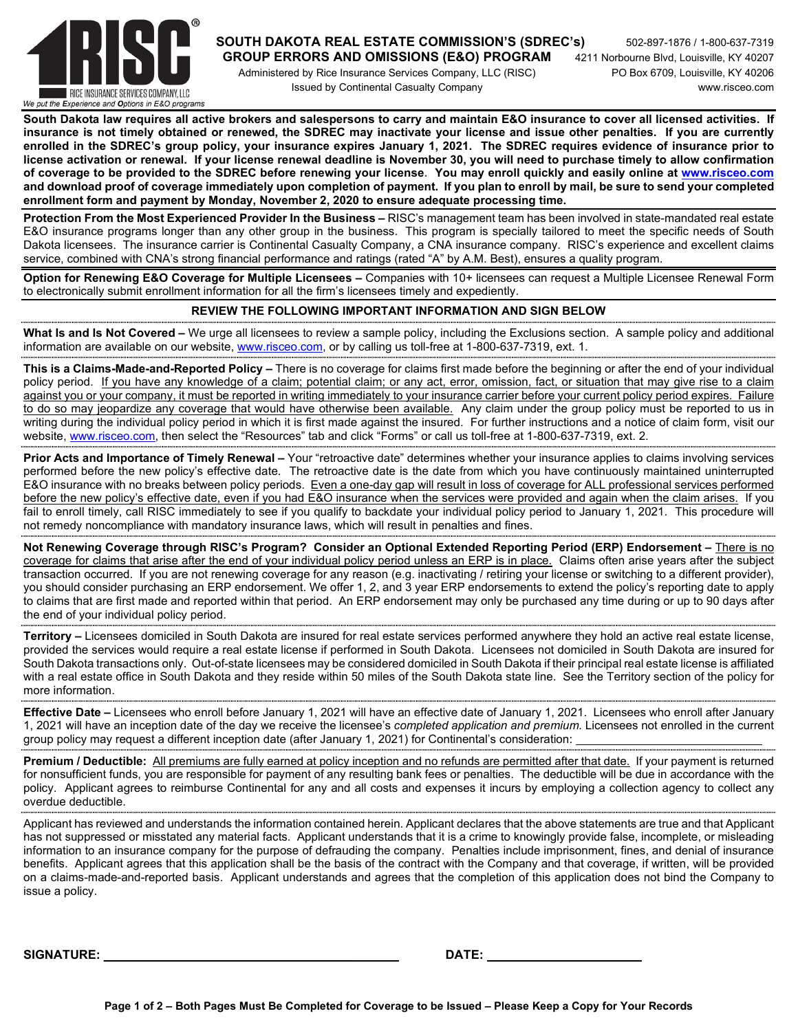

#### **SOUTH DAKOTA REAL ESTATE COMMISSION'S (SDREC's)** 502-897-1876 / 1-800-637-7319  **GROUP ERRORS AND OMISSIONS (E&O) PROGRAM** 4211 Norbourne Blvd, Louisville, KY 40207

 Administered by Rice Insurance Services Company, LLC (RISC) PO Box 6709, Louisville, KY 40206 Issued by Continental Casualty Company www.risceo.com

**South Dakota law requires all active brokers and salespersons to carry and maintain E&O insurance to cover all licensed activities. If insurance is not timely obtained or renewed, the SDREC may inactivate your license and issue other penalties. If you are currently enrolled in the SDREC's group policy, your insurance expires January 1, 2021. The SDREC requires evidence of insurance prior to license activation or renewal. If your license renewal deadline is November 30, you will need to purchase timely to allow confirmation of coverage to be provided to the SDREC before renewing your license. You may enroll quickly and easily online at www.risceo.com and download proof of coverage immediately upon completion of payment. If you plan to enroll by mail, be sure to send your completed enrollment form and payment by Monday, November 2, 2020 to ensure adequate processing time.** 

**Protection From the Most Experienced Provider In the Business –** RISC's management team has been involved in state-mandated real estate E&O insurance programs longer than any other group in the business. This program is specially tailored to meet the specific needs of South Dakota licensees. The insurance carrier is Continental Casualty Company, a CNA insurance company. RISC's experience and excellent claims service, combined with CNA's strong financial performance and ratings (rated "A" by A.M. Best), ensures a quality program.

**Option for Renewing E&O Coverage for Multiple Licensees –** Companies with 10+ licensees can request a Multiple Licensee Renewal Form to electronically submit enrollment information for all the firm's licensees timely and expediently.

## **REVIEW THE FOLLOWING IMPORTANT INFORMATION AND SIGN BELOW**

**What Is and Is Not Covered –** We urge all licensees to review a sample policy, including the Exclusions section. A sample policy and additional information are available on our website, www.risceo.com, or by calling us toll-free at 1-800-637-7319, ext. 1.

**This is a Claims-Made-and-Reported Policy –** There is no coverage for claims first made before the beginning or after the end of your individual policy period. If you have any knowledge of a claim; potential claim; or any act, error, omission, fact, or situation that may give rise to a claim against you or your company, it must be reported in writing immediately to your insurance carrier before your current policy period expires. Failure to do so may jeopardize any coverage that would have otherwise been available. Any claim under the group policy must be reported to us in writing during the individual policy period in which it is first made against the insured. For further instructions and a notice of claim form, visit our website, www.risceo.com, then select the "Resources" tab and click "Forms" or call us toll-free at 1-800-637-7319, ext. 2.

**Prior Acts and Importance of Timely Renewal –** Your "retroactive date" determines whether your insurance applies to claims involving services performed before the new policy's effective date. The retroactive date is the date from which you have continuously maintained uninterrupted E&O insurance with no breaks between policy periods. Even a one-day gap will result in loss of coverage for ALL professional services performed before the new policy's effective date, even if you had E&O insurance when the services were provided and again when the claim arises. If you fail to enroll timely, call RISC immediately to see if you qualify to backdate your individual policy period to January 1, 2021. This procedure will not remedy noncompliance with mandatory insurance laws, which will result in penalties and fines. 

**Not Renewing Coverage through RISC's Program? Consider an Optional Extended Reporting Period (ERP) Endorsement –** There is no coverage for claims that arise after the end of your individual policy period unless an ERP is in place. Claims often arise years after the subject transaction occurred. If you are not renewing coverage for any reason (e.g. inactivating / retiring your license or switching to a different provider), you should consider purchasing an ERP endorsement. We offer 1, 2, and 3 year ERP endorsements to extend the policy's reporting date to apply to claims that are first made and reported within that period. An ERP endorsement may only be purchased any time during or up to 90 days after the end of your individual policy period.

**Territory –** Licensees domiciled in South Dakota are insured for real estate services performed anywhere they hold an active real estate license, provided the services would require a real estate license if performed in South Dakota. Licensees not domiciled in South Dakota are insured for South Dakota transactions only. Out-of-state licensees may be considered domiciled in South Dakota if their principal real estate license is affiliated with a real estate office in South Dakota and they reside within 50 miles of the South Dakota state line. See the Territory section of the policy for more information. 

**Effective Date –** Licensees who enroll before January 1, 2021 will have an effective date of January 1, 2021. Licensees who enroll after January 1, 2021 will have an inception date of the day we receive the licensee's *completed application and premium.* Licensees not enrolled in the current group policy may request a different inception date (after January 1, 2021) for Continental's consideration:

**Premium / Deductible:** All premiums are fully earned at policy inception and no refunds are permitted after that date. If your payment is returned for nonsufficient funds, you are responsible for payment of any resulting bank fees or penalties. The deductible will be due in accordance with the policy. Applicant agrees to reimburse Continental for any and all costs and expenses it incurs by employing a collection agency to collect any overdue deductible. 

Applicant has reviewed and understands the information contained herein. Applicant declares that the above statements are true and that Applicant has not suppressed or misstated any material facts. Applicant understands that it is a crime to knowingly provide false, incomplete, or misleading information to an insurance company for the purpose of defrauding the company. Penalties include imprisonment, fines, and denial of insurance benefits. Applicant agrees that this application shall be the basis of the contract with the Company and that coverage, if written, will be provided on a claims-made-and-reported basis. Applicant understands and agrees that the completion of this application does not bind the Company to issue a policy.

 ${\sf SIGNATURE:} \hspace{25cm} {\sf DATE:}$